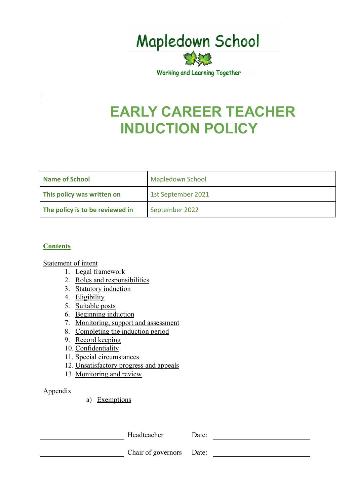

Working and Learning Together

# **EARLY CAREER TEACHER INDUCTION POLICY**

| Name of School                  | <b>Mapledown School</b> |
|---------------------------------|-------------------------|
| This policy was written on      | 1st September 2021      |
| The policy is to be reviewed in | September 2022          |

#### **Contents**

#### Statement of intent

- 1. Legal framework
- 2. [Roles and responsibilities](#page-2-0)
- 3. [Statutory induction](#page-2-1)
- 4. Eligibility
- 5. Suitable posts
- 6. Beginning induction
- 7. Monitoring, support and assessment
- 8. Completing the induction period
- 9. Record keeping
- 10. Confidentiality
- 11. [Special circumstances](#page-8-0)
- 12. [Unsatisfactory progress and appeals](#page-10-0)
- 13. Monitoring and review

#### Appendix

#### a) Exemptions

Headteacher Date:

Chair of governors Date: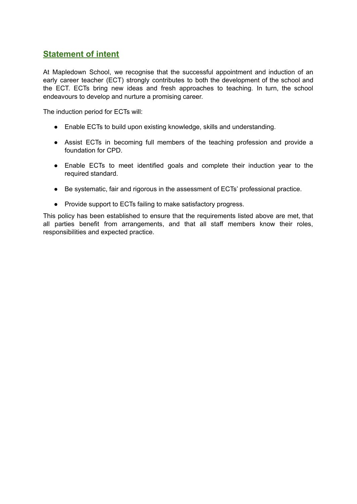# **Statement of intent**

At Mapledown School, we recognise that the successful appointment and induction of an early career teacher (ECT) strongly contributes to both the development of the school and the ECT. ECTs bring new ideas and fresh approaches to teaching. In turn, the school endeavours to develop and nurture a promising career.

The induction period for ECTs will:

- Enable ECTs to build upon existing knowledge, skills and understanding.
- Assist ECTs in becoming full members of the teaching profession and provide a foundation for CPD.
- Enable ECTs to meet identified goals and complete their induction year to the required standard.
- Be systematic, fair and rigorous in the assessment of ECTs' professional practice.
- Provide support to ECTs failing to make satisfactory progress.

This policy has been established to ensure that the requirements listed above are met, that all parties benefit from arrangements, and that all staff members know their roles, responsibilities and expected practice.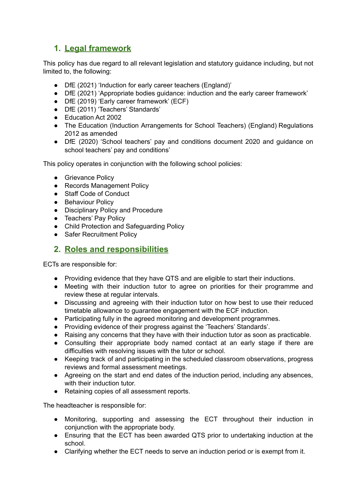# **1. Legal framework**

This policy has due regard to all relevant legislation and statutory guidance including, but not limited to, the following:

- DfE (2021) 'Induction for early career teachers (England)'
- DfE (2021) 'Appropriate bodies guidance: induction and the early career framework'
- DfE (2019) 'Early career framework' (ECF)
- DfE (2011) 'Teachers' Standards'
- Education Act 2002
- The Education (Induction Arrangements for School Teachers) (England) Regulations 2012 as amended
- DfE (2020) 'School teachers' pay and conditions document 2020 and guidance on school teachers' pay and conditions'

This policy operates in conjunction with the following school policies:

- Grievance Policy
- Records Management Policy
- Staff Code of Conduct
- Behaviour Policy
- Disciplinary Policy and Procedure
- <span id="page-2-0"></span>● Teachers' Pay Policy
- Child Protection and Safeguarding Policy
- Safer Recruitment Policy

## <span id="page-2-1"></span>**2. Roles and responsibilities**

ECTs are responsible for:

- Providing evidence that they have QTS and are eligible to start their inductions.
- Meeting with their induction tutor to agree on priorities for their programme and review these at regular intervals.
- Discussing and agreeing with their induction tutor on how best to use their reduced timetable allowance to guarantee engagement with the ECF induction.
- Participating fully in the agreed monitoring and development programmes.
- Providing evidence of their progress against the 'Teachers' Standards'.
- Raising any concerns that they have with their induction tutor as soon as practicable.
- Consulting their appropriate body named contact at an early stage if there are difficulties with resolving issues with the tutor or school.
- Keeping track of and participating in the scheduled classroom observations, progress reviews and formal assessment meetings.
- Agreeing on the start and end dates of the induction period, including any absences, with their induction tutor.
- Retaining copies of all assessment reports.

The headteacher is responsible for:

- Monitoring, supporting and assessing the ECT throughout their induction in conjunction with the appropriate body.
- Ensuring that the ECT has been awarded QTS prior to undertaking induction at the school.
- Clarifying whether the ECT needs to serve an induction period or is exempt from it.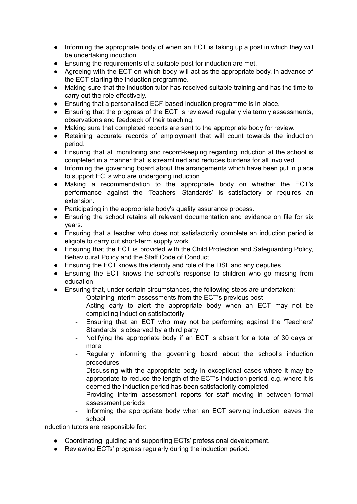- Informing the appropriate body of when an ECT is taking up a post in which they will be undertaking induction.
- Ensuring the requirements of a suitable post for induction are met.
- Agreeing with the ECT on which body will act as the appropriate body, in advance of the ECT starting the induction programme.
- Making sure that the induction tutor has received suitable training and has the time to carry out the role effectively.
- Ensuring that a personalised ECF-based induction programme is in place.
- Ensuring that the progress of the ECT is reviewed regularly via termly assessments, observations and feedback of their teaching.
- Making sure that completed reports are sent to the appropriate body for review.
- Retaining accurate records of employment that will count towards the induction period.
- Ensuring that all monitoring and record-keeping regarding induction at the school is completed in a manner that is streamlined and reduces burdens for all involved.
- Informing the governing board about the arrangements which have been put in place to support ECTs who are undergoing induction.
- Making a recommendation to the appropriate body on whether the ECT's performance against the 'Teachers' Standards' is satisfactory or requires an extension.
- Participating in the appropriate body's quality assurance process.
- Ensuring the school retains all relevant documentation and evidence on file for six years.
- Ensuring that a teacher who does not satisfactorily complete an induction period is eligible to carry out short-term supply work.
- Ensuring that the ECT is provided with the Child Protection and Safeguarding Policy, Behavioural Policy and the Staff Code of Conduct.
- Ensuring the ECT knows the identity and role of the DSL and any deputies.
- Ensuring the ECT knows the school's response to children who go missing from education.
- Ensuring that, under certain circumstances, the following steps are undertaken:
	- Obtaining interim assessments from the ECT's previous post
	- Acting early to alert the appropriate body when an ECT may not be completing induction satisfactorily
	- Ensuring that an ECT who may not be performing against the 'Teachers' Standards' is observed by a third party
	- Notifying the appropriate body if an ECT is absent for a total of 30 days or more
	- Regularly informing the governing board about the school's induction procedures
	- Discussing with the appropriate body in exceptional cases where it may be appropriate to reduce the length of the ECT's induction period, e.g. where it is deemed the induction period has been satisfactorily completed
	- Providing interim assessment reports for staff moving in between formal assessment periods
	- Informing the appropriate body when an ECT serving induction leaves the school

Induction tutors are responsible for:

- Coordinating, guiding and supporting ECTs' professional development.
- Reviewing ECTs' progress regularly during the induction period.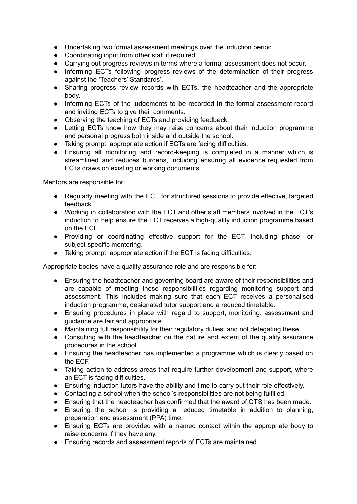- Undertaking two formal assessment meetings over the induction period.
- Coordinating input from other staff if required.
- Carrying out progress reviews in terms where a formal assessment does not occur.
- Informing ECTs following progress reviews of the determination of their progress against the 'Teachers' Standards'.
- Sharing progress review records with ECTs, the headteacher and the appropriate body.
- Informing ECTs of the judgements to be recorded in the formal assessment record and inviting ECTs to give their comments.
- Observing the teaching of ECTs and providing feedback.
- Letting ECTs know how they may raise concerns about their induction programme and personal progress both inside and outside the school.
- Taking prompt, appropriate action if ECTs are facing difficulties.
- Ensuring all monitoring and record-keeping is completed in a manner which is streamlined and reduces burdens, including ensuring all evidence requested from ECTs draws on existing or working documents.

Mentors are responsible for:

- Regularly meeting with the ECT for structured sessions to provide effective, targeted feedback.
- Working in collaboration with the ECT and other staff members involved in the ECT's induction to help ensure the ECT receives a high-quality induction programme based on the ECF.
- Providing or coordinating effective support for the ECT, including phase- or subject-specific mentoring.
- Taking prompt, appropriate action if the ECT is facing difficulties.

Appropriate bodies have a quality assurance role and are responsible for:

- Ensuring the headteacher and governing board are aware of their responsibilities and are capable of meeting these responsibilities regarding monitoring support and assessment. This includes making sure that each ECT receives a personalised induction programme, designated tutor support and a reduced timetable.
- Ensuring procedures in place with regard to support, monitoring, assessment and guidance are fair and appropriate.
- Maintaining full responsibility for their regulatory duties, and not delegating these.
- Consulting with the headteacher on the nature and extent of the quality assurance procedures in the school.
- Ensuring the headteacher has implemented a programme which is clearly based on the ECF.
- Taking action to address areas that require further development and support, where an ECT is facing difficulties.
- Ensuring induction tutors have the ability and time to carry out their role effectively.
- Contacting a school when the school's responsibilities are not being fulfilled.
- Ensuring that the headteacher has confirmed that the award of QTS has been made.
- Ensuring the school is providing a reduced timetable in addition to planning, preparation and assessment (PPA) time.
- Ensuring ECTs are provided with a named contact within the appropriate body to raise concerns if they have any.
- Ensuring records and assessment reports of ECTs are maintained.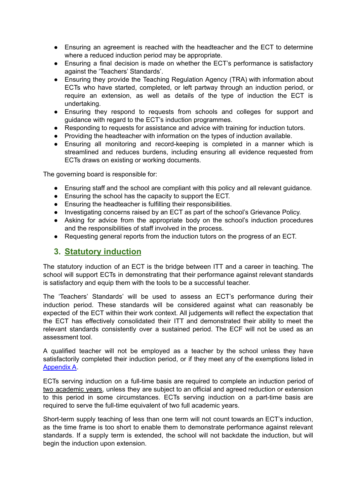- Ensuring an agreement is reached with the headteacher and the ECT to determine where a reduced induction period may be appropriate.
- Ensuring a final decision is made on whether the ECT's performance is satisfactory against the 'Teachers' Standards'.
- Ensuring they provide the Teaching Regulation Agency (TRA) with information about ECTs who have started, completed, or left partway through an induction period, or require an extension, as well as details of the type of induction the ECT is undertaking.
- Ensuring they respond to requests from schools and colleges for support and guidance with regard to the ECT's induction programmes.
- Responding to requests for assistance and advice with training for induction tutors.
- Providing the headteacher with information on the types of induction available.
- Ensuring all monitoring and record-keeping is completed in a manner which is streamlined and reduces burdens, including ensuring all evidence requested from ECTs draws on existing or working documents.

The governing board is responsible for:

- Ensuring staff and the school are compliant with this policy and all relevant guidance.
- Ensuring the school has the capacity to support the ECT.
- Ensuring the headteacher is fulfilling their responsibilities.
- Investigating concerns raised by an ECT as part of the school's Grievance Policy.
- Asking for advice from the appropriate body on the school's induction procedures and the responsibilities of staff involved in the process.
- Requesting general reports from the induction tutors on the progress of an ECT.

#### **3. Statutory induction**

The statutory induction of an ECT is the bridge between ITT and a career in teaching. The school will support ECTs in demonstrating that their performance against relevant standards is satisfactory and equip them with the tools to be a successful teacher.

The 'Teachers' Standards' will be used to assess an ECT's performance during their induction period. These standards will be considered against what can reasonably be expected of the ECT within their work context. All judgements will reflect the expectation that the ECT has effectively consolidated their ITT and demonstrated their ability to meet the relevant standards consistently over a sustained period. The ECF will not be used as an assessment tool.

A qualified teacher will not be employed as a teacher by the school unless they have satisfactorily completed their induction period, or if they meet any of the exemptions listed in Appendix A.

ECTs serving induction on a full-time basis are required to complete an induction period of two academic years, unless they are subject to an official and agreed reduction or extension to this period in some circumstances. ECTs serving induction on a part-time basis are required to serve the full-time equivalent of two full academic years.

Short-term supply teaching of less than one term will not count towards an ECT's induction, as the time frame is too short to enable them to demonstrate performance against relevant standards. If a supply term is extended, the school will not backdate the induction, but will begin the induction upon extension.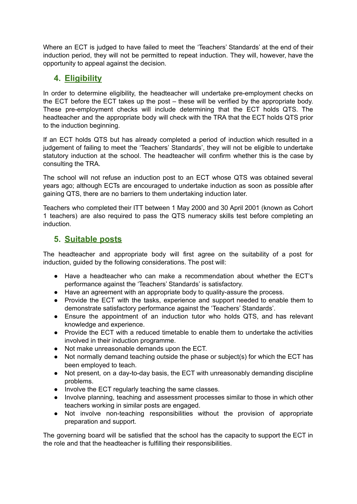Where an ECT is judged to have failed to meet the 'Teachers' Standards' at the end of their induction period, they will not be permitted to repeat induction. They will, however, have the opportunity to appeal against the decision.

# **4. Eligibility**

In order to determine eligibility, the headteacher will undertake pre-employment checks on the ECT before the ECT takes up the post – these will be verified by the appropriate body. These pre-employment checks will include determining that the ECT holds QTS. The headteacher and the appropriate body will check with the TRA that the ECT holds QTS prior to the induction beginning.

If an ECT holds QTS but has already completed a period of induction which resulted in a judgement of failing to meet the 'Teachers' Standards', they will not be eligible to undertake statutory induction at the school. The headteacher will confirm whether this is the case by consulting the TRA.

The school will not refuse an induction post to an ECT whose QTS was obtained several years ago; although ECTs are encouraged to undertake induction as soon as possible after gaining QTS, there are no barriers to them undertaking induction later.

Teachers who completed their ITT between 1 May 2000 and 30 April 2001 (known as Cohort 1 teachers) are also required to pass the QTS numeracy skills test before completing an induction.

# **5. Suitable posts**

The headteacher and appropriate body will first agree on the suitability of a post for induction, guided by the following considerations. The post will:

- Have a headteacher who can make a recommendation about whether the ECT's performance against the 'Teachers' Standards' is satisfactory.
- Have an agreement with an appropriate body to quality-assure the process.
- Provide the ECT with the tasks, experience and support needed to enable them to demonstrate satisfactory performance against the 'Teachers' Standards'.
- Ensure the appointment of an induction tutor who holds QTS, and has relevant knowledge and experience.
- Provide the ECT with a reduced timetable to enable them to undertake the activities involved in their induction programme.
- Not make unreasonable demands upon the ECT.
- Not normally demand teaching outside the phase or subject(s) for which the ECT has been employed to teach.
- Not present, on a day-to-day basis, the ECT with unreasonably demanding discipline problems.
- Involve the ECT regularly teaching the same classes.
- Involve planning, teaching and assessment processes similar to those in which other teachers working in similar posts are engaged.
- Not involve non-teaching responsibilities without the provision of appropriate preparation and support.

The governing board will be satisfied that the school has the capacity to support the ECT in the role and that the headteacher is fulfilling their responsibilities.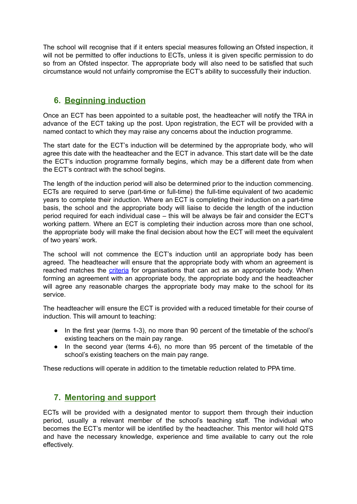The school will recognise that if it enters special measures following an Ofsted inspection, it will not be permitted to offer inductions to ECTs, unless it is given specific permission to do so from an Ofsted inspector. The appropriate body will also need to be satisfied that such circumstance would not unfairly compromise the ECT's ability to successfully their induction.

# **6. Beginning induction**

Once an ECT has been appointed to a suitable post, the headteacher will notify the TRA in advance of the ECT taking up the post. Upon registration, the ECT will be provided with a named contact to which they may raise any concerns about the induction programme.

The start date for the ECT's induction will be determined by the appropriate body, who will agree this date with the headteacher and the ECT in advance. This start date will be the date the ECT's induction programme formally begins, which may be a different date from when the ECT's contract with the school begins.

The length of the induction period will also be determined prior to the induction commencing. ECTs are required to serve (part-time or full-time) the full-time equivalent of two academic years to complete their induction. Where an ECT is completing their induction on a part-time basis, the school and the appropriate body will liaise to decide the length of the induction period required for each individual case – this will be always be fair and consider the ECT's working pattern. Where an ECT is completing their induction across more than one school, the appropriate body will make the final decision about how the ECT will meet the equivalent of two years' work.

The school will not commence the ECT's induction until an appropriate body has been agreed. The headteacher will ensure that the appropriate body with whom an agreement is reached matches the [criteria](https://www.gov.uk/government/publications/appropriate-bodies-guidance-induction-and-the-early-career-framework) for organisations that can act as an appropriate body. When forming an agreement with an appropriate body, the appropriate body and the headteacher will agree any reasonable charges the appropriate body may make to the school for its service.

The headteacher will ensure the ECT is provided with a reduced timetable for their course of induction. This will amount to teaching:

- In the first year (terms 1-3), no more than 90 percent of the timetable of the school's existing teachers on the main pay range.
- In the second year (terms 4-6), no more than 95 percent of the timetable of the school's existing teachers on the main pay range.

These reductions will operate in addition to the timetable reduction related to PPA time.

# **7. Mentoring and support**

ECTs will be provided with a designated mentor to support them through their induction period, usually a relevant member of the school's teaching staff. The individual who becomes the ECT's mentor will be identified by the headteacher. This mentor will hold QTS and have the necessary knowledge, experience and time available to carry out the role effectively.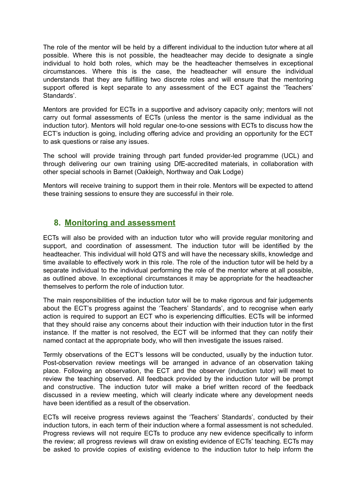The role of the mentor will be held by a different individual to the induction tutor where at all possible. Where this is not possible, the headteacher may decide to designate a single individual to hold both roles, which may be the headteacher themselves in exceptional circumstances. Where this is the case, the headteacher will ensure the individual understands that they are fulfilling two discrete roles and will ensure that the mentoring support offered is kept separate to any assessment of the ECT against the 'Teachers' Standards'.

Mentors are provided for ECTs in a supportive and advisory capacity only; mentors will not carry out formal assessments of ECTs (unless the mentor is the same individual as the induction tutor). Mentors will hold regular one-to-one sessions with ECTs to discuss how the ECT's induction is going, including offering advice and providing an opportunity for the ECT to ask questions or raise any issues.

The school will provide training through part funded provider-led programme (UCL) and through delivering our own training using DfE-accredited materials, in collaboration with other special schools in Barnet (Oakleigh, Northway and Oak Lodge)

Mentors will receive training to support them in their role. Mentors will be expected to attend these training sessions to ensure they are successful in their role.

## **8. Monitoring and assessment**

ECTs will also be provided with an induction tutor who will provide regular monitoring and support, and coordination of assessment. The induction tutor will be identified by the headteacher. This individual will hold QTS and will have the necessary skills, knowledge and time available to effectively work in this role. The role of the induction tutor will be held by a separate individual to the individual performing the role of the mentor where at all possible, as outlined above. In exceptional circumstances it may be appropriate for the headteacher themselves to perform the role of induction tutor.

<span id="page-8-0"></span>The main responsibilities of the induction tutor will be to make rigorous and fair judgements about the ECT's progress against the 'Teachers' Standards', and to recognise when early action is required to support an ECT who is experiencing difficulties. ECTs will be informed that they should raise any concerns about their induction with their induction tutor in the first instance. If the matter is not resolved, the ECT will be informed that they can notify their named contact at the appropriate body, who will then investigate the issues raised.

Termly observations of the ECT's lessons will be conducted, usually by the induction tutor. Post-observation review meetings will be arranged in advance of an observation taking place. Following an observation, the ECT and the observer (induction tutor) will meet to review the teaching observed. All feedback provided by the induction tutor will be prompt and constructive. The induction tutor will make a brief written record of the feedback discussed in a review meeting, which will clearly indicate where any development needs have been identified as a result of the observation.

ECTs will receive progress reviews against the 'Teachers' Standards', conducted by their induction tutors, in each term of their induction where a formal assessment is not scheduled. Progress reviews will not require ECTs to produce any new evidence specifically to inform the review; all progress reviews will draw on existing evidence of ECTs' teaching. ECTs may be asked to provide copies of existing evidence to the induction tutor to help inform the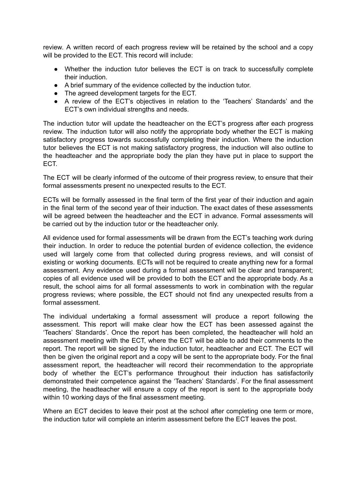review. A written record of each progress review will be retained by the school and a copy will be provided to the ECT. This record will include:

- Whether the induction tutor believes the ECT is on track to successfully complete their induction.
- A brief summary of the evidence collected by the induction tutor.
- The agreed development targets for the ECT.
- A review of the ECT's objectives in relation to the 'Teachers' Standards' and the ECT's own individual strengths and needs.

The induction tutor will update the headteacher on the ECT's progress after each progress review. The induction tutor will also notify the appropriate body whether the ECT is making satisfactory progress towards successfully completing their induction. Where the induction tutor believes the ECT is not making satisfactory progress, the induction will also outline to the headteacher and the appropriate body the plan they have put in place to support the ECT.

The ECT will be clearly informed of the outcome of their progress review, to ensure that their formal assessments present no unexpected results to the ECT.

ECTs will be formally assessed in the final term of the first year of their induction and again in the final term of the second year of their induction. The exact dates of these assessments will be agreed between the headteacher and the ECT in advance. Formal assessments will be carried out by the induction tutor or the headteacher only.

All evidence used for formal assessments will be drawn from the ECT's teaching work during their induction. In order to reduce the potential burden of evidence collection, the evidence used will largely come from that collected during progress reviews, and will consist of existing or working documents. ECTs will not be required to create anything new for a formal assessment. Any evidence used during a formal assessment will be clear and transparent; copies of all evidence used will be provided to both the ECT and the appropriate body. As a result, the school aims for all formal assessments to work in combination with the regular progress reviews; where possible, the ECT should not find any unexpected results from a formal assessment.

The individual undertaking a formal assessment will produce a report following the assessment. This report will make clear how the ECT has been assessed against the 'Teachers' Standards'. Once the report has been completed, the headteacher will hold an assessment meeting with the ECT, where the ECT will be able to add their comments to the report. The report will be signed by the induction tutor, headteacher and ECT. The ECT will then be given the original report and a copy will be sent to the appropriate body. For the final assessment report, the headteacher will record their recommendation to the appropriate body of whether the ECT's performance throughout their induction has satisfactorily demonstrated their competence against the 'Teachers' Standards'. For the final assessment meeting, the headteacher will ensure a copy of the report is sent to the appropriate body within 10 working days of the final assessment meeting.

Where an ECT decides to leave their post at the school after completing one term or more, the induction tutor will complete an interim assessment before the ECT leaves the post.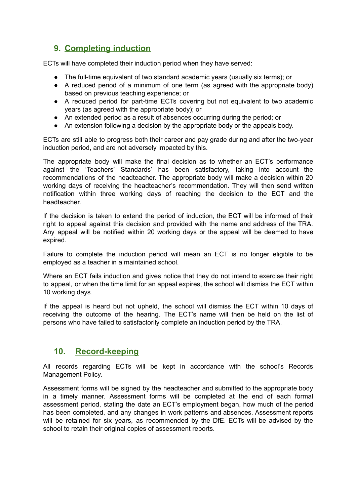# <span id="page-10-0"></span>**9. Completing induction**

ECTs will have completed their induction period when they have served:

- The full-time equivalent of two standard academic years (usually six terms); or
- A reduced period of a minimum of one term (as agreed with the appropriate body) based on previous teaching experience; or
- A reduced period for part-time ECTs covering but not equivalent to two academic years (as agreed with the appropriate body); or
- An extended period as a result of absences occurring during the period; or
- An extension following a decision by the appropriate body or the appeals body.

ECTs are still able to progress both their career and pay grade during and after the two-year induction period, and are not adversely impacted by this.

The appropriate body will make the final decision as to whether an ECT's performance against the 'Teachers' Standards' has been satisfactory, taking into account the recommendations of the headteacher. The appropriate body will make a decision within 20 working days of receiving the headteacher's recommendation. They will then send written notification within three working days of reaching the decision to the ECT and the headteacher.

If the decision is taken to extend the period of induction, the ECT will be informed of their right to appeal against this decision and provided with the name and address of the TRA. Any appeal will be notified within 20 working days or the appeal will be deemed to have expired.

Failure to complete the induction period will mean an ECT is no longer eligible to be employed as a teacher in a maintained school.

Where an ECT fails induction and gives notice that they do not intend to exercise their right to appeal, or when the time limit for an appeal expires, the school will dismiss the ECT within 10 working days.

If the appeal is heard but not upheld, the school will dismiss the ECT within 10 days of receiving the outcome of the hearing. The ECT's name will then be held on the list of persons who have failed to satisfactorily complete an induction period by the TRA.

# **10. Record-keeping**

All records regarding ECTs will be kept in accordance with the school's Records Management Policy.

Assessment forms will be signed by the headteacher and submitted to the appropriate body in a timely manner. Assessment forms will be completed at the end of each formal assessment period, stating the date an ECT's employment began, how much of the period has been completed, and any changes in work patterns and absences. Assessment reports will be retained for six years, as recommended by the DfE. ECTs will be advised by the school to retain their original copies of assessment reports.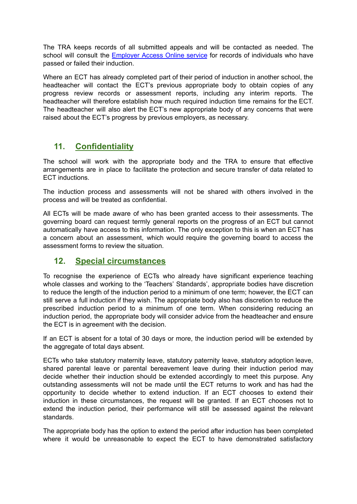The TRA keeps records of all submitted appeals and will be contacted as needed. The school will consult the [Employer](https://www.gov.uk/guidance/teacher-status-checks-information-for-employers) Access Online service for records of individuals who have passed or failed their induction.

Where an ECT has already completed part of their period of induction in another school, the headteacher will contact the ECT's previous appropriate body to obtain copies of any progress review records or assessment reports, including any interim reports. The headteacher will therefore establish how much required induction time remains for the ECT. The headteacher will also alert the ECT's new appropriate body of any concerns that were raised about the ECT's progress by previous employers, as necessary.

# **11. Confidentiality**

The school will work with the appropriate body and the TRA to ensure that effective arrangements are in place to facilitate the protection and secure transfer of data related to ECT inductions.

The induction process and assessments will not be shared with others involved in the process and will be treated as confidential.

All ECTs will be made aware of who has been granted access to their assessments. The governing board can request termly general reports on the progress of an ECT but cannot automatically have access to this information. The only exception to this is when an ECT has a concern about an assessment, which would require the governing board to access the assessment forms to review the situation.

## **12. Special circumstances**

To recognise the experience of ECTs who already have significant experience teaching whole classes and working to the 'Teachers' Standards', appropriate bodies have discretion to reduce the length of the induction period to a minimum of one term; however, the ECT can still serve a full induction if they wish. The appropriate body also has discretion to reduce the prescribed induction period to a minimum of one term. When considering reducing an induction period, the appropriate body will consider advice from the headteacher and ensure the ECT is in agreement with the decision.

If an ECT is absent for a total of 30 days or more, the induction period will be extended by the aggregate of total days absent.

ECTs who take statutory maternity leave, statutory paternity leave, statutory adoption leave, shared parental leave or parental bereavement leave during their induction period may decide whether their induction should be extended accordingly to meet this purpose. Any outstanding assessments will not be made until the ECT returns to work and has had the opportunity to decide whether to extend induction. If an ECT chooses to extend their induction in these circumstances, the request will be granted. If an ECT chooses not to extend the induction period, their performance will still be assessed against the relevant standards.

The appropriate body has the option to extend the period after induction has been completed where it would be unreasonable to expect the ECT to have demonstrated satisfactory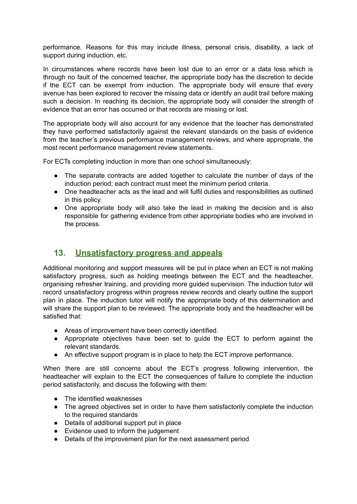performance. Reasons for this may include illness, personal crisis, disability, a lack of support during induction, etc.

In circumstances where records have been lost due to an error or a data loss which is through no fault of the concerned teacher, the appropriate body has the discretion to decide if the ECT can be exempt from induction. The appropriate body will ensure that every avenue has been explored to recover the missing data or identify an audit trail before making such a decision. In reaching its decision, the appropriate body will consider the strength of evidence that an error has occurred or that records are missing or lost.

The appropriate body will also account for any evidence that the teacher has demonstrated they have performed satisfactorily against the relevant standards on the basis of evidence from the teacher's previous performance management reviews, and where appropriate, the most recent performance management review statements.

For ECTs completing induction in more than one school simultaneously:

- The separate contracts are added together to calculate the number of days of the induction period; each contract must meet the minimum period criteria.
- One headteacher acts as the lead and will fulfil duties and responsibilities as outlined in this policy.
- One appropriate body will also take the lead in making the decision and is also responsible for gathering evidence from other appropriate bodies who are involved in the process.

## **13. Unsatisfactory progress and appeals**

Additional monitoring and support measures will be put in place when an ECT is not making satisfactory progress, such as holding meetings between the ECT and the headteacher, organising refresher training, and providing more guided supervision. The induction tutor will record unsatisfactory progress within progress review records and clearly outline the support plan in place. The induction tutor will notify the appropriate body of this determination and will share the support plan to be reviewed. The appropriate body and the headteacher will be satisfied that:

- Areas of improvement have been correctly identified.
- Appropriate objectives have been set to guide the ECT to perform against the relevant standards.
- An effective support program is in place to help the ECT improve performance.

When there are still concerns about the ECT's progress following intervention, the headteacher will explain to the ECT the consequences of failure to complete the induction period satisfactorily, and discuss the following with them:

- The identified weaknesses
- The agreed objectives set in order to have them satisfactorily complete the induction to the required standards
- Details of additional support put in place
- Evidence used to inform the judgement
- Details of the improvement plan for the next assessment period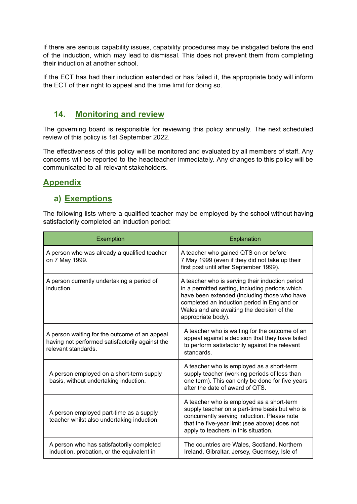If there are serious capability issues, capability procedures may be instigated before the end of the induction, which may lead to dismissal. This does not prevent them from completing their induction at another school.

If the ECT has had their induction extended or has failed it, the appropriate body will inform the ECT of their right to appeal and the time limit for doing so.

## **14. Monitoring and review**

The governing board is responsible for reviewing this policy annually. The next scheduled review of this policy is 1st September 2022.

The effectiveness of this policy will be monitored and evaluated by all members of staff. Any concerns will be reported to the headteacher immediately. Any changes to this policy will be communicated to all relevant stakeholders.

# **Appendix**

## **a) Exemptions**

The following lists where a qualified teacher may be employed by the school without having satisfactorily completed an induction period:

| Exemption                                                                                                               | Explanation                                                                                                                                                                                                                                                           |
|-------------------------------------------------------------------------------------------------------------------------|-----------------------------------------------------------------------------------------------------------------------------------------------------------------------------------------------------------------------------------------------------------------------|
| A person who was already a qualified teacher<br>on 7 May 1999.                                                          | A teacher who gained QTS on or before<br>7 May 1999 (even if they did not take up their<br>first post until after September 1999).                                                                                                                                    |
| A person currently undertaking a period of<br>induction.                                                                | A teacher who is serving their induction period<br>in a permitted setting, including periods which<br>have been extended (including those who have<br>completed an induction period in England or<br>Wales and are awaiting the decision of the<br>appropriate body). |
| A person waiting for the outcome of an appeal<br>having not performed satisfactorily against the<br>relevant standards. | A teacher who is waiting for the outcome of an<br>appeal against a decision that they have failed<br>to perform satisfactorily against the relevant<br>standards.                                                                                                     |
| A person employed on a short-term supply<br>basis, without undertaking induction.                                       | A teacher who is employed as a short-term<br>supply teacher (working periods of less than<br>one term). This can only be done for five years<br>after the date of award of QTS.                                                                                       |
| A person employed part-time as a supply<br>teacher whilst also undertaking induction.                                   | A teacher who is employed as a short-term<br>supply teacher on a part-time basis but who is<br>concurrently serving induction. Please note<br>that the five-year limit (see above) does not<br>apply to teachers in this situation.                                   |
| A person who has satisfactorily completed<br>induction, probation, or the equivalent in                                 | The countries are Wales, Scotland, Northern<br>Ireland, Gibraltar, Jersey, Guernsey, Isle of                                                                                                                                                                          |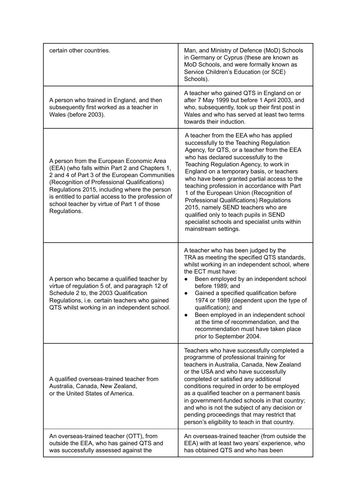| certain other countries.                                                                                                                                                                                                                                                                                                                                         | Man, and Ministry of Defence (MoD) Schools<br>in Germany or Cyprus (these are known as<br>MoD Schools, and were formally known as<br>Service Children's Education (or SCE)<br>Schools).                                                                                                                                                                                                                                                                                                                                                                                                                       |
|------------------------------------------------------------------------------------------------------------------------------------------------------------------------------------------------------------------------------------------------------------------------------------------------------------------------------------------------------------------|---------------------------------------------------------------------------------------------------------------------------------------------------------------------------------------------------------------------------------------------------------------------------------------------------------------------------------------------------------------------------------------------------------------------------------------------------------------------------------------------------------------------------------------------------------------------------------------------------------------|
| A person who trained in England, and then<br>subsequently first worked as a teacher in<br>Wales (before 2003).                                                                                                                                                                                                                                                   | A teacher who gained QTS in England on or<br>after 7 May 1999 but before 1 April 2003, and<br>who, subsequently, took up their first post in<br>Wales and who has served at least two terms<br>towards their induction.                                                                                                                                                                                                                                                                                                                                                                                       |
| A person from the European Economic Area<br>(EEA) (who falls within Part 2 and Chapters 1,<br>2 and 4 of Part 3 of the European Communities<br>(Recognition of Professional Qualifications)<br>Regulations 2015, including where the person<br>is entitled to partial access to the profession of<br>school teacher by virtue of Part 1 of those<br>Regulations. | A teacher from the EEA who has applied<br>successfully to the Teaching Regulation<br>Agency, for QTS, or a teacher from the EEA<br>who has declared successfully to the<br>Teaching Regulation Agency, to work in<br>England on a temporary basis, or teachers<br>who have been granted partial access to the<br>teaching profession in accordance with Part<br>1 of the European Union (Recognition of<br>Professional Qualifications) Regulations<br>2015, namely SEND teachers who are<br>qualified only to teach pupils in SEND<br>specialist schools and specialist units within<br>mainstream settings. |
| A person who became a qualified teacher by<br>virtue of regulation 5 of, and paragraph 12 of<br>Schedule 2 to, the 2003 Qualification<br>Regulations, i.e. certain teachers who gained<br>QTS whilst working in an independent school.                                                                                                                           | A teacher who has been judged by the<br>TRA as meeting the specified QTS standards,<br>whilst working in an independent school, where<br>the ECT must have:<br>Been employed by an independent school<br>$\bullet$<br>before 1989; and<br>Gained a specified qualification before<br>$\bullet$<br>1974 or 1989 (dependent upon the type of<br>qualification); and<br>Been employed in an independent school<br>at the time of recommendation, and the<br>recommendation must have taken place<br>prior to September 2004.                                                                                     |
| A qualified overseas-trained teacher from<br>Australia, Canada, New Zealand,<br>or the United States of America.                                                                                                                                                                                                                                                 | Teachers who have successfully completed a<br>programme of professional training for<br>teachers in Australia, Canada, New Zealand<br>or the USA and who have successfully<br>completed or satisfied any additional<br>conditions required in order to be employed<br>as a qualified teacher on a permanent basis<br>in government-funded schools in that country;<br>and who is not the subject of any decision or<br>pending proceedings that may restrict that<br>person's eligibility to teach in that country.                                                                                           |
| An overseas-trained teacher (OTT), from<br>outside the EEA, who has gained QTS and<br>was successfully assessed against the                                                                                                                                                                                                                                      | An overseas-trained teacher (from outside the<br>EEA) with at least two years' experience, who<br>has obtained QTS and who has been                                                                                                                                                                                                                                                                                                                                                                                                                                                                           |